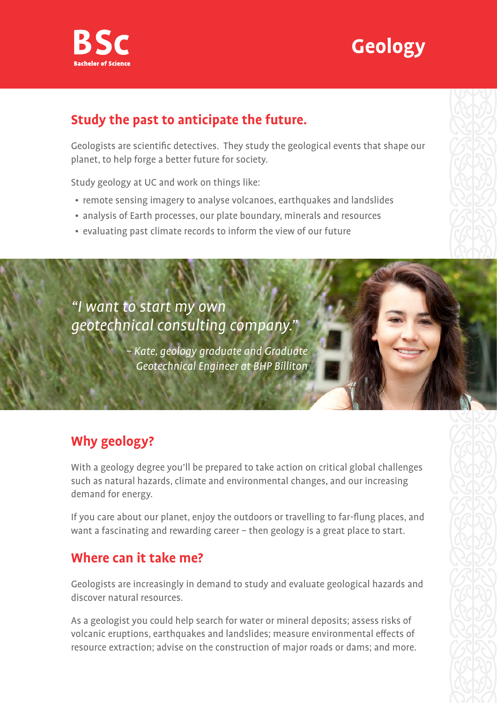



### **Study the past to anticipate the future.**

Geologists are scientific detectives. They study the geological events that shape our planet, to help forge a better future for society.

Study geology at UC and work on things like:

- remote sensing imagery to analyse volcanoes, earthquakes and landslides
- analysis of Earth processes, our plate boundary, minerals and resources
- evaluating past climate records to inform the view of our future

## "I want to start my own geotechnical consulting company."

– Kate, geology graduate and Graduate Geotechnical Engineer at BHP Billiton

## **Why geology?**

With a geology degree you'll be prepared to take action on critical global challenges such as natural hazards, climate and environmental changes, and our increasing demand for energy.

If you care about our planet, enjoy the outdoors or travelling to far-flung places, and want a fascinating and rewarding career – then geology is a great place to start.

### **Where can it take me?**

Geologists are increasingly in demand to study and evaluate geological hazards and discover natural resources.

As a geologist you could help search for water or mineral deposits; assess risks of volcanic eruptions, earthquakes and landslides; measure environmental effects of resource extraction; advise on the construction of major roads or dams; and more.